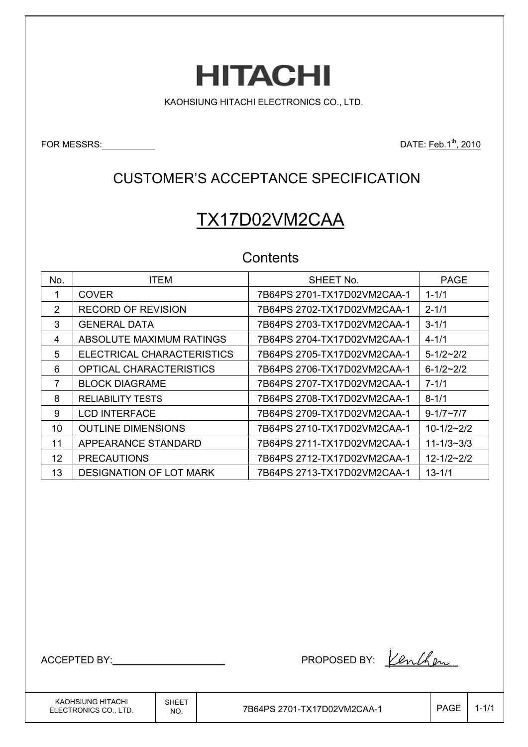# **HITACHI**

KAOHSIUNG HITACHI ELECTRONICS CO., LTD.

FOR MESSRS: DATE: Feb.1th, 2010

### CUSTOMER'S ACCEPTANCE SPECIFICATION

# TX17D02VM2CAA

#### **Contents**

| No.               | <b>ITEM</b>                    | SHEET No.                   | <b>PAGE</b>        |
|-------------------|--------------------------------|-----------------------------|--------------------|
|                   | <b>COVER</b>                   | 7B64PS 2701-TX17D02VM2CAA-1 | $1 - 1/1$          |
| 2                 | <b>RECORD OF REVISION</b>      | 7B64PS 2702-TX17D02VM2CAA-1 | $2 - 1/1$          |
| 3                 | <b>GENERAL DATA</b>            | 7B64PS 2703-TX17D02VM2CAA-1 | $3 - 1/1$          |
| 4                 | ABSOLUTE MAXIMUM RATINGS       | 7B64PS 2704-TX17D02VM2CAA-1 | $4 - 1/1$          |
| 5                 | ELECTRICAL CHARACTERISTICS     | 7B64PS 2705-TX17D02VM2CAA-1 | $5 - 1/2 \sim 2/2$ |
| 6                 | <b>OPTICAL CHARACTERISTICS</b> | 7B64PS 2706-TX17D02VM2CAA-1 | $6 - 1/2 - 2/2$    |
| 7                 | <b>BLOCK DIAGRAME</b>          | 7B64PS 2707-TX17D02VM2CAA-1 | $7 - 1/1$          |
| 8                 | <b>RELIABILITY TESTS</b>       | 7B64PS 2708-TX17D02VM2CAA-1 | $8 - 1/1$          |
| 9                 | <b>LCD INTERFACE</b>           | 7B64PS 2709-TX17D02VM2CAA-1 | $9 - 1/7 - 7/7$    |
| 10                | <b>OUTLINE DIMENSIONS</b>      |                             | $10-1/2-2/2$       |
| 11                | APPEARANCE STANDARD            | 7B64PS 2711-TX17D02VM2CAA-1 | $11 - 1/3 - 3/3$   |
| $12 \overline{ }$ | <b>PRECAUTIONS</b>             | 7B64PS 2712-TX17D02VM2CAA-1 | $12 - 1/2 - 2/2$   |
| 13                | DESIGNATION OF LOT MARK        | 7B64PS 2713-TX17D02VM2CAA-1 | $13 - 1/1$         |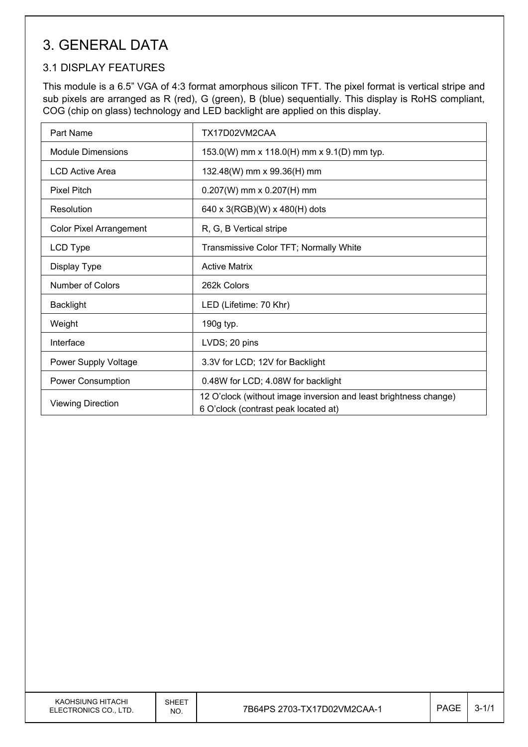# 3. GENERAL DATA

#### 3.1 DISPLAY FEATURES

This module is a 6.5" VGA of 4:3 format amorphous silicon TFT. The pixel format is vertical stripe and sub pixels are arranged as R (red), G (green), B (blue) sequentially. This display is RoHS compliant, COG (chip on glass) technology and LED backlight are applied on this display.

| Part Name                      | TX17D02VM2CAA                                                                                            |  |  |  |  |
|--------------------------------|----------------------------------------------------------------------------------------------------------|--|--|--|--|
| <b>Module Dimensions</b>       | 153.0(W) mm x 118.0(H) mm x 9.1(D) mm typ.                                                               |  |  |  |  |
| <b>LCD Active Area</b>         | 132.48(W) mm x 99.36(H) mm                                                                               |  |  |  |  |
| <b>Pixel Pitch</b>             | $0.207(W)$ mm x $0.207(H)$ mm                                                                            |  |  |  |  |
| Resolution                     | 640 x 3(RGB)(W) x 480(H) dots                                                                            |  |  |  |  |
| <b>Color Pixel Arrangement</b> | R, G, B Vertical stripe                                                                                  |  |  |  |  |
| LCD Type                       | Transmissive Color TFT; Normally White                                                                   |  |  |  |  |
| Display Type                   | <b>Active Matrix</b>                                                                                     |  |  |  |  |
| <b>Number of Colors</b>        | 262k Colors                                                                                              |  |  |  |  |
| <b>Backlight</b>               | LED (Lifetime: 70 Khr)                                                                                   |  |  |  |  |
| Weight                         | 190g typ.                                                                                                |  |  |  |  |
| Interface                      | LVDS; 20 pins                                                                                            |  |  |  |  |
| Power Supply Voltage           | 3.3V for LCD; 12V for Backlight                                                                          |  |  |  |  |
| Power Consumption              | 0.48W for LCD; 4.08W for backlight                                                                       |  |  |  |  |
| <b>Viewing Direction</b>       | 12 O'clock (without image inversion and least brightness change)<br>6 O'clock (contrast peak located at) |  |  |  |  |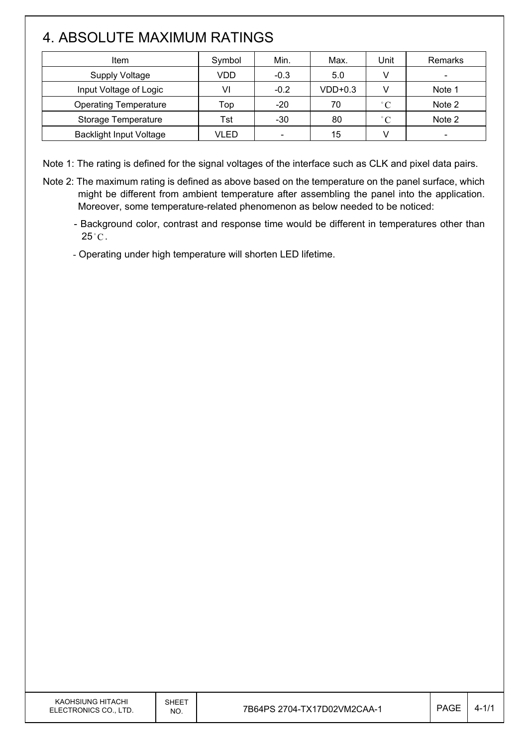# 4. ABSOLUTE MAXIMUM RATINGS

 $\overline{\phantom{a}}$ 

| Item                           | Symbol | Min.                     | Max.      | <b>Jnit</b>  | Remarks                  |
|--------------------------------|--------|--------------------------|-----------|--------------|--------------------------|
| <b>Supply Voltage</b>          | VDD    | $-0.3$                   | 5.0       |              | $\overline{\phantom{a}}$ |
| Input Voltage of Logic         | VI     | $-0.2$                   | $VDD+0.3$ |              | Note 1                   |
| <b>Operating Temperature</b>   | Top    | $-20$                    | 70        | $^{\circ}$ C | Note 2                   |
| Storage Temperature            | Tst    | -30                      | 80        | $^{\circ}C$  | Note 2                   |
| <b>Backlight Input Voltage</b> | VLED   | $\overline{\phantom{a}}$ | 15        |              |                          |

Note 1: The rating is defined for the signal voltages of the interface such as CLK and pixel data pairs.

- Note 2: The maximum rating is defined as above based on the temperature on the panel surface, which might be different from ambient temperature after assembling the panel into the application. Moreover, some temperature-related phenomenon as below needed to be noticed:
	- Background color, contrast and response time would be different in temperatures other than  $25^{\circ}$ C.

- Operating under high temperature will shorten LED lifetime.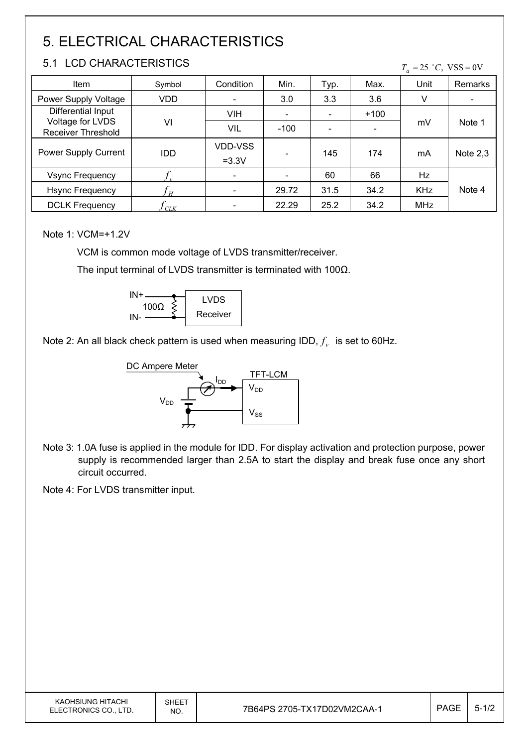# 5. ELECTRICAL CHARACTERISTICS

#### 5.1 LCD CHARACTERISTICS

 $T_a = 25$  °C, VSS = 0V

| Item                                   | Symbol           | Condition                | Min.                     | Typ. | Max.   | Unit       | Remarks    |
|----------------------------------------|------------------|--------------------------|--------------------------|------|--------|------------|------------|
| Power Supply Voltage                   | VDD              | $\overline{\phantom{a}}$ | 3.0                      | 3.3  | 3.6    | V          |            |
| Differential Input                     |                  | <b>VIH</b>               | $\overline{\phantom{0}}$ |      | $+100$ |            |            |
| Voltage for LVDS<br>Receiver Threshold | VI               | VIL                      | $-100$                   |      | ۰      | mV         | Note 1     |
| Power Supply Current                   | <b>IDD</b>       | VDD-VSS<br>$=3.3V$       |                          | 145  | 174    | mA         | Note $2,3$ |
| <b>Vsync Frequency</b>                 | $\boldsymbol{v}$ | $\overline{\phantom{a}}$ |                          | 60   | 66     | Hz         |            |
| <b>Hsync Frequency</b>                 | H                | $\overline{\phantom{a}}$ | 29.72                    | 31.5 | 34.2   | <b>KHz</b> | Note 4     |
| <b>DCLK Frequency</b>                  | CLK              | $\overline{\phantom{a}}$ | 22.29                    | 25.2 | 34.2   | <b>MHz</b> |            |

Note 1: VCM=+1.2V

VCM is common mode voltage of LVDS transmitter/receiver.

The input terminal of LVDS transmitter is terminated with 100 $\Omega$ .



Note 2: An all black check pattern is used when measuring IDD,  $f_v$  is set to 60Hz.



Note 3: 1.0A fuse is applied in the module for IDD. For display activation and protection purpose, power supply is recommended larger than 2.5A to start the display and break fuse once any short circuit occurred.

Note 4: For LVDS transmitter input.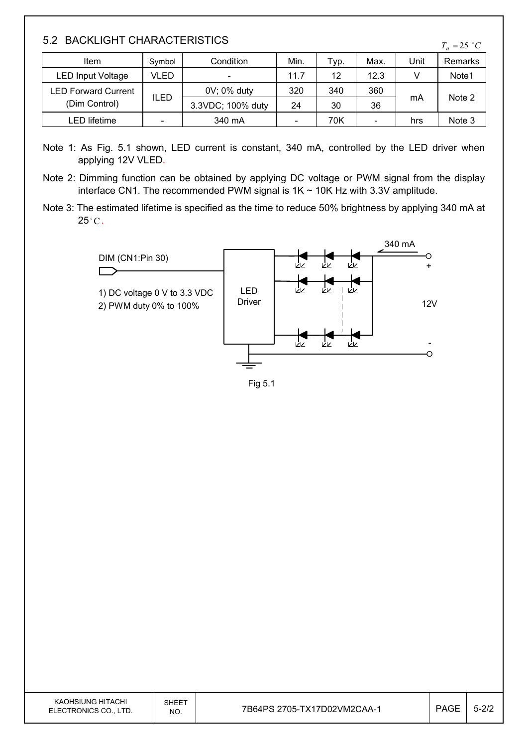#### 5.2 BACKLIGHT CHARACTERISTICS

| Item                       | Symbol                   | Condition                | Min.                     | Typ. | Max. | Unit | Remarks |
|----------------------------|--------------------------|--------------------------|--------------------------|------|------|------|---------|
| LED Input Voltage          | VLED                     | $\overline{\phantom{a}}$ | 11.7                     | 12   | 12.3 |      | Note1   |
| <b>LED Forward Current</b> |                          | 0V; 0% duty              | 320                      | 340  | 360  |      |         |
| (Dim Control)              | ILED                     | 3.3VDC; 100% duty        | 24                       | 30   | 36   | mA   | Note 2  |
| LED lifetime               | $\overline{\phantom{0}}$ | 340 mA                   | $\overline{\phantom{a}}$ | 70K  |      | hrs  | Note 3  |

- Note 1: As Fig. 5.1 shown, LED current is constant, 340 mA, controlled by the LED driver when applying 12V VLED.
- Note 2: Dimming function can be obtained by applying DC voltage or PWM signal from the display interface CN1. The recommended PWM signal is  $1K \sim 10K$  Hz with 3.3V amplitude.
- Note 3: The estimated lifetime is specified as the time to reduce 50% brightness by applying 340 mA at  $25^{\circ}$ C.



Fig 5.1

| KAOHSIUNG HITACHI<br>ELECTRONICS CO., LTD. | <b>SHEET</b><br>NO. | 7B64PS 2705-TX17D02VM2CAA-1 | PAGE | $\sim$<br>5-212 |
|--------------------------------------------|---------------------|-----------------------------|------|-----------------|
|--------------------------------------------|---------------------|-----------------------------|------|-----------------|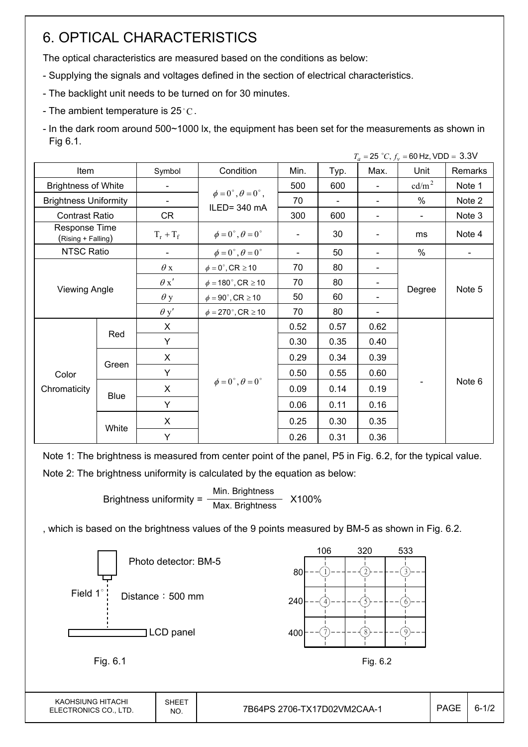# 6. OPTICAL CHARACTERISTICS

The optical characteristics are measured based on the conditions as below:

- Supplying the signals and voltages defined in the section of electrical characteristics.
- The backlight unit needs to be turned on for 30 minutes.
- The ambient temperature is 25 $^{\circ}$ C.
- In the dark room around 500~1000 lx, the equipment has been set for the measurements as shown in Fig 6.1.

|                                     |             |             |                                          |      |                |                | $T_a = 25 °C, f_v = 60 Hz, VDD = 3.3 V$ |         |
|-------------------------------------|-------------|-------------|------------------------------------------|------|----------------|----------------|-----------------------------------------|---------|
| Item                                |             | Symbol      | Condition                                | Min. | Typ.           | Max.           | Unit                                    | Remarks |
| <b>Brightness of White</b>          |             |             |                                          | 500  | 600            |                | $\text{cd/m}^2$                         | Note 1  |
| <b>Brightness Uniformity</b>        |             | -           | $\phi = 0^{\circ}, \theta = 0^{\circ}$ , | 70   | $\blacksquare$ |                | $\%$                                    | Note 2  |
| <b>Contrast Ratio</b>               |             | CR          | ILED=340 mA                              | 300  | 600            | $\blacksquare$ | $\overline{\phantom{a}}$                | Note 3  |
| Response Time<br>(Rising + Falling) |             | $T_r + T_f$ | $\phi = 0^{\circ}, \theta = 0^{\circ}$   |      | 30             |                | ms                                      | Note 4  |
| NTSC Ratio                          |             |             | $\phi = 0^{\circ}, \theta = 0^{\circ}$   |      | 50             |                | $\%$                                    |         |
|                                     |             | $\theta$ x  | $\phi = 0^\circ$ , CR $\geq 10$          | 70   | 80             |                |                                         | Note 5  |
|                                     |             | $\theta x'$ | $\phi = 180^{\circ}$ , CR $\geq 10$      | 70   | 80             |                | Degree                                  |         |
| <b>Viewing Angle</b>                |             | $\theta$ y  | $\phi = 90^{\circ}$ , CR $\geq 10$       | 50   | 60             |                |                                         |         |
|                                     |             | $\theta$ y' | $\phi = 270^\circ$ , CR $\geq 10$        | 70   | 80             |                |                                         |         |
|                                     |             | X           |                                          | 0.52 | 0.57           | 0.62           |                                         |         |
|                                     | Red         | Y           |                                          | 0.30 | 0.35           | 0.40           |                                         |         |
|                                     |             | X           |                                          | 0.29 | 0.34           | 0.39           |                                         |         |
| Color                               | Green       | Y           |                                          | 0.50 | 0.55           | 0.60           |                                         | Note 6  |
| Chromaticity                        |             | X           | $\phi = 0^{\circ}, \theta = 0^{\circ}$   | 0.09 | 0.14           | 0.19           |                                         |         |
|                                     | <b>Blue</b> | Y           |                                          | 0.06 | 0.11           | 0.16           |                                         |         |
|                                     | White       | X           |                                          | 0.25 | 0.30           | 0.35           |                                         |         |
|                                     |             | Y           |                                          | 0.26 | 0.31           | 0.36           |                                         |         |

Note 1: The brightness is measured from center point of the panel, P5 in Fig. 6.2, for the typical value. Note 2: The brightness uniformity is calculated by the equation as below:

> Brightness uniformity =  $\frac{\text{Min.}_{\text{Br}}}{\text{Min.}_{\text{B}}}\times 100\%$ Max. Brightness

, which is based on the brightness values of the 9 points measured by BM-5 as shown in Fig. 6.2.

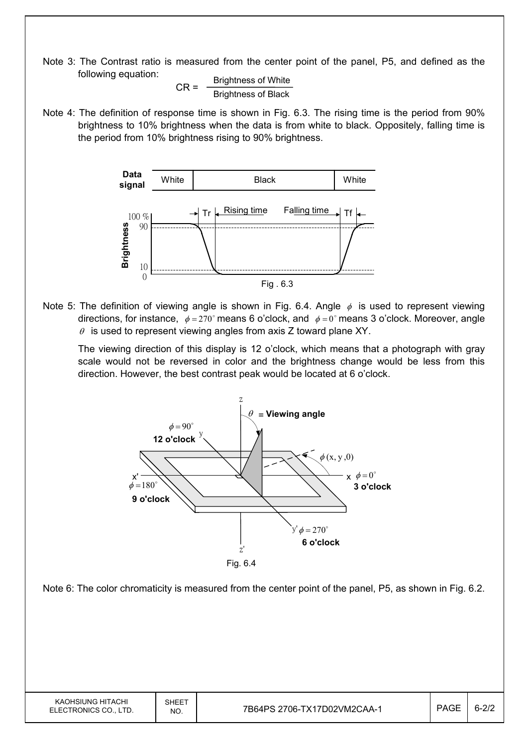Note 3: The Contrast ratio is measured from the center point of the panel, P5, and defined as the following equation:

 $CR =$  Brightness of White Brightness of Black

Note 4: The definition of response time is shown in Fig. 6.3. The rising time is the period from 90% brightness to 10% brightness when the data is from white to black. Oppositely, falling time is the period from 10% brightness rising to 90% brightness.



Note 5: The definition of viewing angle is shown in Fig. 6.4. Angle  $\phi$  is used to represent viewing directions, for instance,  $\phi = 270^\circ$  means 6 o'clock, and  $\phi = 0^\circ$  means 3 o'clock. Moreover, angle  $\theta$  is used to represent viewing angles from axis Z toward plane XY.

 The viewing direction of this display is 12 o'clock, which means that a photograph with gray scale would not be reversed in color and the brightness change would be less from this direction. However, the best contrast peak would be located at 6 o'clock.



Note 6: The color chromaticity is measured from the center point of the panel, P5, as shown in Fig. 6.2.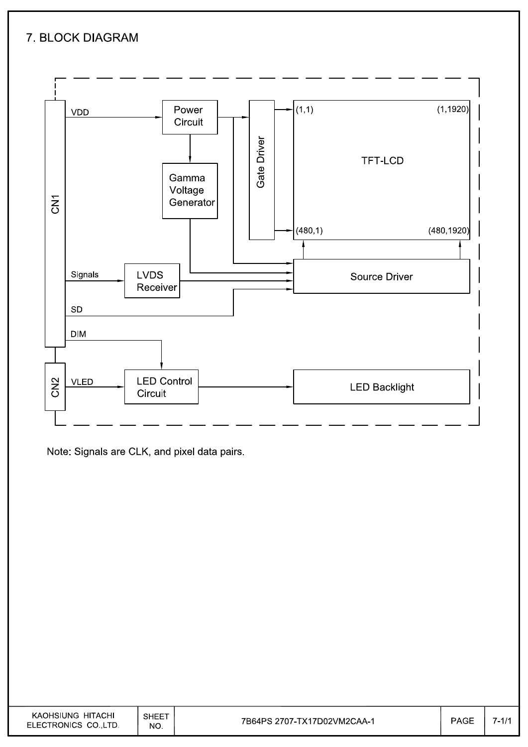#### 7. BLOCK DIAGRAM



Note: Signals are CLK, and pixel data pairs.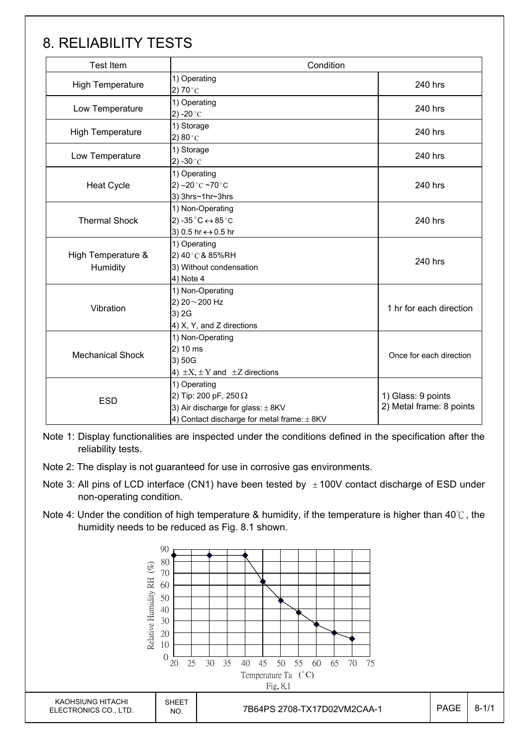# 8. RELIABILITY TESTS

| <b>Test Item</b>               | Condition                                                                                                                                |                                                |  |
|--------------------------------|------------------------------------------------------------------------------------------------------------------------------------------|------------------------------------------------|--|
| <b>High Temperature</b>        | 1) Operating<br>2) 70 $^{\circ}$ C                                                                                                       | 240 hrs                                        |  |
| Low Temperature                | 1) Operating<br>2) -20 $^{\circ}$ C                                                                                                      |                                                |  |
| <b>High Temperature</b>        | 1) Storage<br>2) $80^{\circ}$ C                                                                                                          | 240 hrs                                        |  |
| Low Temperature                | 1) Storage<br>2) -30 $^{\circ}$ C                                                                                                        | 240 hrs                                        |  |
| <b>Heat Cycle</b>              | 1) Operating<br>2) $-20$ °C $-70$ °C<br>3) 3hrs~1hr~3hrs                                                                                 | 240 hrs                                        |  |
| <b>Thermal Shock</b>           | 1) Non-Operating<br>2) -35 $^{\circ}$ C $\leftrightarrow$ 85 $^{\circ}$ C<br>3) 0.5 hr ↔ 0.5 hr                                          | 240 hrs                                        |  |
| High Temperature &<br>Humidity | 1) Operating<br>2) 40°C & 85%RH<br>3) Without condensation<br>4) Note 4                                                                  | 240 hrs                                        |  |
| Vibration                      | 1) Non-Operating<br>2) 20~200 Hz<br>3) 2G<br>4) X, Y, and Z directions                                                                   | 1 hr for each direction                        |  |
| <b>Mechanical Shock</b>        | 1) Non-Operating<br>2) 10 ms<br>3) 50G<br>4) $\pm X$ , $\pm Y$ and $\pm Z$ directions                                                    | Once for each direction                        |  |
| <b>ESD</b>                     | 1) Operating<br>2) Tip: 200 pF, 250 $\Omega$<br>3) Air discharge for glass: $\pm$ 8KV<br>4) Contact discharge for metal frame: $\pm$ 8KV | 1) Glass: 9 points<br>2) Metal frame: 8 points |  |

Note 1: Display functionalities are inspected under the conditions defined in the specification after the reliability tests.

Note 2: The display is not guaranteed for use in corrosive gas environments.

- Note 3: All pins of LCD interface (CN1) have been tested by  $\pm 100V$  contact discharge of ESD under non-operating condition.
- Note 4: Under the condition of high temperature & humidity, if the temperature is higher than 40°C, the humidity needs to be reduced as Fig. 8.1 shown.

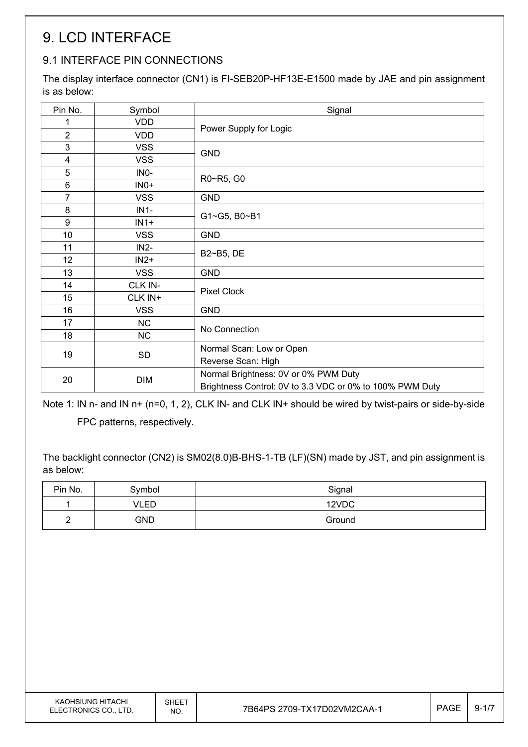# 9. LCD INTERFACE

#### 9.1 INTERFACE PIN CONNECTIONS

The display interface connector (CN1) is FI-SEB20P-HF13E-E1500 made by JAE and pin assignment is as below:

| VDD<br>1<br>Power Supply for Logic<br>$\overline{2}$<br><b>VDD</b><br>3<br><b>VSS</b><br><b>GND</b><br>$\overline{\mathbf{4}}$<br><b>VSS</b><br>5<br>INO-<br>R0~R5, G0<br>6<br>$INO+$<br>$\overline{7}$<br><b>VSS</b><br><b>GND</b><br>8<br>$IN1-$<br>G1~G5, B0~B1<br>9<br>$IN1+$<br>10 <sup>1</sup><br><b>VSS</b><br><b>GND</b> |  |  |  |
|----------------------------------------------------------------------------------------------------------------------------------------------------------------------------------------------------------------------------------------------------------------------------------------------------------------------------------|--|--|--|
|                                                                                                                                                                                                                                                                                                                                  |  |  |  |
|                                                                                                                                                                                                                                                                                                                                  |  |  |  |
|                                                                                                                                                                                                                                                                                                                                  |  |  |  |
|                                                                                                                                                                                                                                                                                                                                  |  |  |  |
|                                                                                                                                                                                                                                                                                                                                  |  |  |  |
|                                                                                                                                                                                                                                                                                                                                  |  |  |  |
|                                                                                                                                                                                                                                                                                                                                  |  |  |  |
|                                                                                                                                                                                                                                                                                                                                  |  |  |  |
|                                                                                                                                                                                                                                                                                                                                  |  |  |  |
|                                                                                                                                                                                                                                                                                                                                  |  |  |  |
| 11<br>$IN2-$<br>B2~B5, DE                                                                                                                                                                                                                                                                                                        |  |  |  |
| 12 <sub>2</sub><br>$IN2+$                                                                                                                                                                                                                                                                                                        |  |  |  |
| 13<br><b>VSS</b><br><b>GND</b>                                                                                                                                                                                                                                                                                                   |  |  |  |
| CLK IN-<br>14<br><b>Pixel Clock</b>                                                                                                                                                                                                                                                                                              |  |  |  |
| 15<br>CLK IN+                                                                                                                                                                                                                                                                                                                    |  |  |  |
| 16<br><b>VSS</b><br><b>GND</b>                                                                                                                                                                                                                                                                                                   |  |  |  |
| 17<br><b>NC</b><br>No Connection                                                                                                                                                                                                                                                                                                 |  |  |  |
| <b>NC</b><br>18                                                                                                                                                                                                                                                                                                                  |  |  |  |
| Normal Scan: Low or Open<br>19<br>SD                                                                                                                                                                                                                                                                                             |  |  |  |
| Reverse Scan: High                                                                                                                                                                                                                                                                                                               |  |  |  |
| Normal Brightness: 0V or 0% PWM Duty<br>20<br><b>DIM</b><br>Brightness Control: 0V to 3.3 VDC or 0% to 100% PWM Duty                                                                                                                                                                                                             |  |  |  |

Note 1: IN n- and IN n+ (n=0, 1, 2), CLK IN- and CLK IN+ should be wired by twist-pairs or side-by-side

FPC patterns, respectively.

The backlight connector (CN2) is SM02(8.0)B-BHS-1-TB (LF)(SN) made by JST, and pin assignment is as below:

| Pin No. | Symbol     | Signal |
|---------|------------|--------|
|         | VLED       | 12VDC  |
| ∽<br>-  | <b>GND</b> | Ground |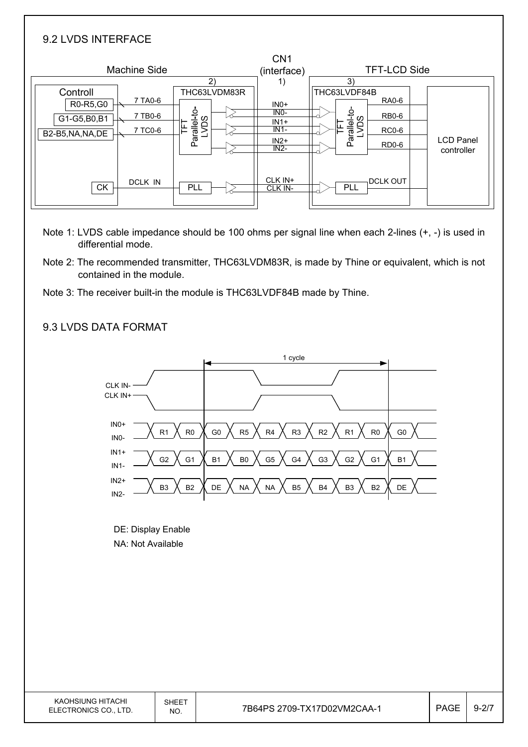| 9.2 LVDS INTERFACE                                       |                                                                            |                                                          |                                                                                                                 |                                |
|----------------------------------------------------------|----------------------------------------------------------------------------|----------------------------------------------------------|-----------------------------------------------------------------------------------------------------------------|--------------------------------|
| <b>Machine Side</b>                                      | 2)                                                                         | CN <sub>1</sub><br>(interface)<br>1)                     | <b>TFT-LCD Side</b><br>3)                                                                                       |                                |
| Controll<br>R0-R5,G0<br>G1-G5,B0,B1<br>B2-B5, NA, NA, DE | THC63LVDM83R<br>7 TA0-6<br>Parallel-to-<br>LVDS<br>7 TB0-6<br>띹<br>7 TC0-6 | $INO+$<br>$INO-$<br>$IN1+$<br>$IN1-$<br>$IN2+$<br>$IN2-$ | THC63LVDF84B<br><b>RA0-6</b><br>Parallel-to-<br>LVDS<br><b>RB0-6</b><br>뇬<br><b>RC0-6</b><br>RD <sub>0</sub> -6 | <b>LCD Panel</b><br>controller |
| <b>CK</b>                                                | <b>DCLK IN</b><br>PLL                                                      | CLK IN+<br>CLK IN-                                       | <b>DCLK OUT</b><br>PLL                                                                                          |                                |

- Note 1: LVDS cable impedance should be 100 ohms per signal line when each 2-lines (+, -) is used in differential mode.
- Note 2: The recommended transmitter, THC63LVDM83R, is made by Thine or equivalent, which is not contained in the module.
- Note 3: The receiver built-in the module is THC63LVDF84B made by Thine.

#### 9.3 LVDS DATA FORMAT

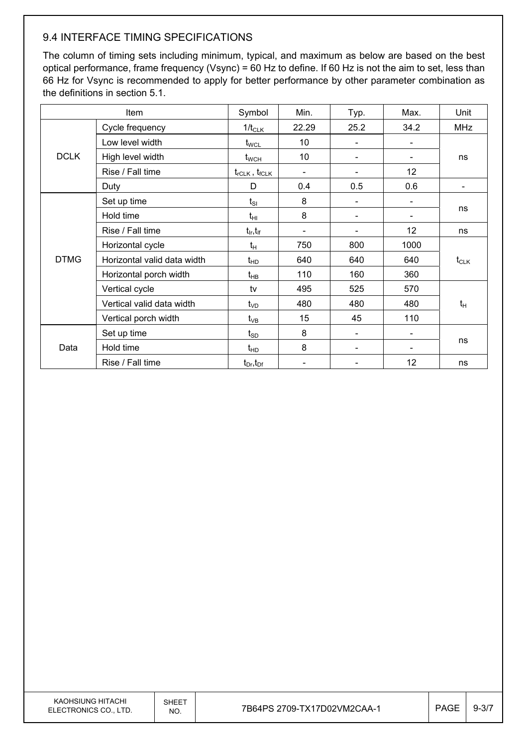#### 9.4 INTERFACE TIMING SPECIFICATIONS

The column of timing sets including minimum, typical, and maximum as below are based on the best optical performance, frame frequency (Vsync) = 60 Hz to define. If 60 Hz is not the aim to set, less than 66 Hz for Vsync is recommended to apply for better performance by other parameter combination as the definitions in section 5.1.

| Item                 |                             | Symbol                          | Min.                     | Typ. | Max.              | Unit       |  |
|----------------------|-----------------------------|---------------------------------|--------------------------|------|-------------------|------------|--|
|                      | Cycle frequency             |                                 | 22.29                    | 25.2 | 34.2              | <b>MHz</b> |  |
|                      | Low level width             | $t_{\text{WCL}}$                | 10                       |      |                   |            |  |
| <b>DCLK</b>          | High level width            | $t_{\scriptscriptstyle\rm WCH}$ | 10                       |      |                   | ns         |  |
|                      | Rise / Fall time            | $t_{rCLK}$ , $t_{fCLK}$         | $\overline{\phantom{a}}$ |      | $12 \overline{ }$ |            |  |
|                      | Duty                        | D                               | 0.4                      | 0.5  | 0.6               |            |  |
|                      | Set up time                 | $t_{SI}$                        | 8                        |      |                   |            |  |
| Hold time            |                             | $t_{\rm HI}$                    | 8                        |      |                   | ns         |  |
|                      | Rise / Fall time            | $t_{ir}$ , $t_{if}$             |                          |      | 12                | ns         |  |
|                      | Horizontal cycle            | $t_H$                           | 750                      | 800  | 1000              |            |  |
| <b>DTMG</b>          | Horizontal valid data width | $t_{HD}$                        | 640                      | 640  | 640               | $t_{CLK}$  |  |
|                      | Horizontal porch width      | $t_{HB}$                        | 110                      | 160  | 360               |            |  |
|                      | Vertical cycle              | tv                              | 495                      | 525  | 570               |            |  |
|                      | Vertical valid data width   | $t_{VD}$                        | 480                      | 480  | 480               | $t_H$      |  |
| Vertical porch width |                             | $t_{VB}$                        | 15                       | 45   | 110               |            |  |
| Set up time          |                             | $t_{SD}$                        | 8                        |      |                   |            |  |
| Data                 | Hold time                   | $t_{HD}$                        | 8                        |      |                   | ns         |  |
|                      | Rise / Fall time            | $t_{Dr}$ , $t_{Dr}$             |                          |      | 12                | ns         |  |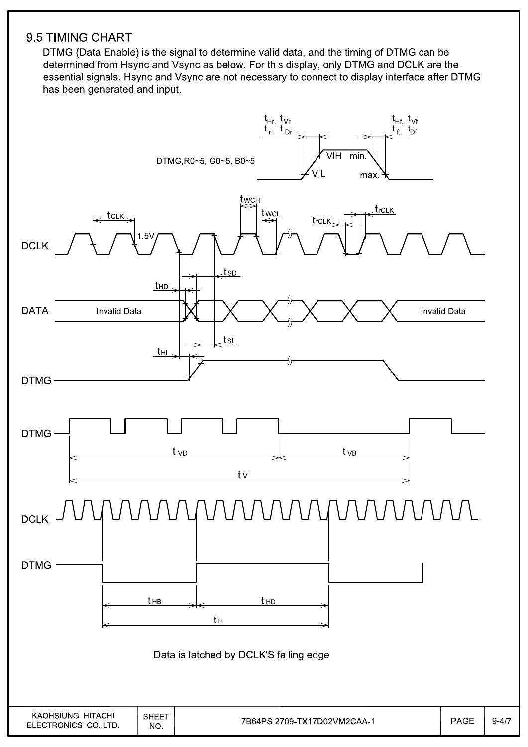#### 9.5 TIMING CHART

DTMG (Data Enable) is the signal to determine valid data, and the timing of DTMG can be determined from Hsync and Vsync as below. For this display, only DTMG and DCLK are the essential signals. Hsync and Vsync are not necessary to connect to display interface after DTMG has been generated and input.

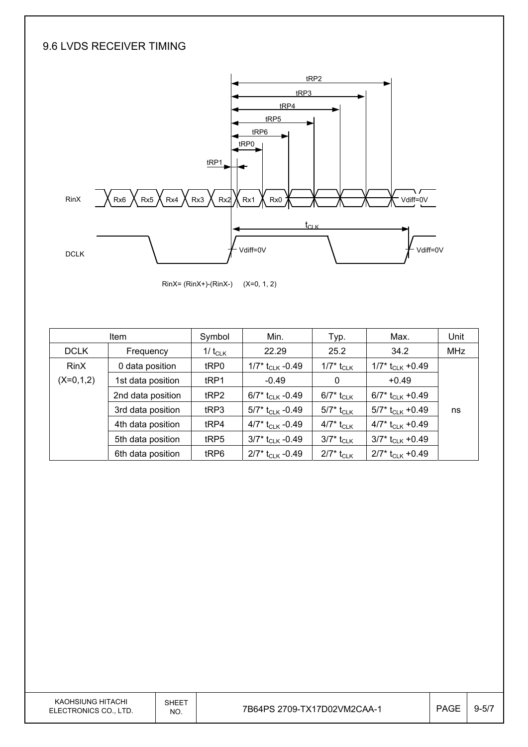#### 9.6 LVDS RECEIVER TIMING



RinX= (RinX+)-(RinX-) (X=0, 1, 2)

|             | <b>Item</b>       | Symbol           | Min.                           | Typ.                                         | Max.                           | Unit       |
|-------------|-------------------|------------------|--------------------------------|----------------------------------------------|--------------------------------|------------|
| <b>DCLK</b> | Frequency         | 1/ $t_{CLK}$     | 22.29                          | 25.2                                         | 34.2                           | <b>MHz</b> |
| <b>RinX</b> | 0 data position   | tRP0             | 1/7* $t_{CLK}$ -0.49           | 1/7* t <sub>CLK</sub>                        | 1/7* t <sub>CLK</sub> +0.49    |            |
| $(X=0,1,2)$ | 1st data position | t <sub>RP1</sub> | $-0.49$                        | 0                                            | $+0.49$                        |            |
|             | 2nd data position | tRP2             | 6/7* t <sub>CLK</sub> -0.49    | 6/7* t <sub>CLK</sub>                        | 6/7* $t_{CLK}$ +0.49           |            |
|             | 3rd data position | t <sub>RP3</sub> | $5/7$ * t <sub>CLK</sub> -0.49 | $5/7^*$ t <sub>CLK</sub>                     | $5/7$ * t <sub>CLK</sub> +0.49 | ns         |
|             | 4th data position | tRP4             | 4/7* $t_{CLK}$ -0.49           | 4/7* t <sub>CLK</sub>                        | 4/7* $t_{CLK}$ +0.49           |            |
|             | 5th data position | tRP5             | $3/7$ * t <sub>CLK</sub> -0.49 | $3/7^*$ $t_{\scriptscriptstyle{\text{CLK}}}$ | $3/7$ * t <sub>CLK</sub> +0.49 |            |
|             | 6th data position | tRP6             | $2/7$ * t <sub>CLK</sub> -0.49 | $2/7^*$ t <sub>CLK</sub>                     | $2/7$ * t <sub>CLK</sub> +0.49 |            |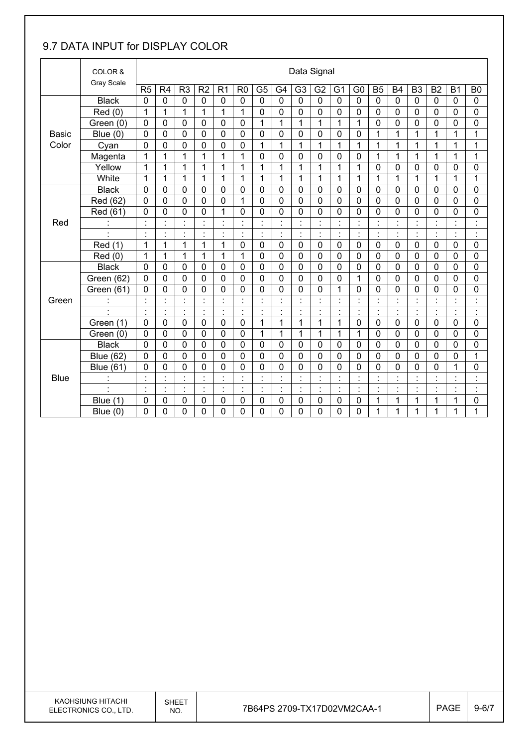#### 9.7 DATA INPUT for DISPLAY COLOR

| COLOR &      |                      |                | Data Signal    |                                  |                      |                           |                |                |                           |                |                |                            |                                  |                      |                |                      |                |                      |                                  |
|--------------|----------------------|----------------|----------------|----------------------------------|----------------------|---------------------------|----------------|----------------|---------------------------|----------------|----------------|----------------------------|----------------------------------|----------------------|----------------|----------------------|----------------|----------------------|----------------------------------|
|              | <b>Gray Scale</b>    | R <sub>5</sub> | R <sub>4</sub> | R <sub>3</sub>                   | R <sub>2</sub>       | R <sub>1</sub>            | R <sub>0</sub> | G <sub>5</sub> | G4                        | G <sub>3</sub> | G <sub>2</sub> | G <sub>1</sub>             | G <sub>0</sub>                   | B <sub>5</sub>       | <b>B4</b>      | B <sub>3</sub>       | B <sub>2</sub> | <b>B1</b>            | B <sub>0</sub>                   |
|              | <b>Black</b>         | $\mathbf 0$    | $\mathbf 0$    | $\mathbf 0$                      | $\mathbf 0$          | $\mathbf 0$               | 0              | $\mathbf 0$    | $\mathbf 0$               | $\mathbf 0$    | $\mathbf 0$    | $\mathbf 0$                | $\mathbf 0$                      | $\mathbf 0$          | $\mathbf 0$    | $\mathbf 0$          | $\mathbf 0$    | $\mathbf 0$          | $\mathbf 0$                      |
|              | Red (0)              | 1              | 1              | 1                                | $\overline{1}$       | $\overline{1}$            | 1              | $\mathbf 0$    | 0                         | 0              | $\mathbf 0$    | 0                          | $\mathbf 0$                      | $\mathbf 0$          | 0              | $\mathbf 0$          | $\mathbf 0$    | $\mathbf 0$          | 0                                |
|              | Green (0)            | $\mathbf 0$    | 0              | $\mathbf 0$                      | $\mathbf 0$          | 0                         | $\mathbf 0$    | 1              | 1                         | 1              | 1              | 1                          | 1                                | $\mathbf 0$          | 0              | $\mathbf 0$          | $\mathbf 0$    | 0                    | 0                                |
| <b>Basic</b> | Blue $(0)$           | $\mathbf 0$    | 0              | $\mathbf 0$                      | $\mathbf 0$          | $\mathbf 0$               | $\mathbf 0$    | $\mathbf 0$    | 0                         | 0              | $\mathbf 0$    | 0                          | $\mathbf 0$                      | 1                    | 1              | 1                    | $\mathbf{1}$   | 1                    | $\mathbf{1}$                     |
| Color        | Cyan                 | $\mathbf 0$    | 0              | 0                                | $\mathbf 0$          | $\mathbf 0$               | $\mathbf 0$    | 1              | $\mathbf 1$               | 1              | 1              | 1                          | 1                                | 1                    | 1              | 1                    | $\mathbf 1$    | 1                    | 1                                |
|              | Magenta              | 1              | 1              | 1                                | 1                    | 1                         | 1              | 0              | 0                         | 0              | 0              | 0                          | 0                                | 1                    | 1              | 1                    | 1              | 1                    | 1                                |
|              | Yellow               | 1              | 1              | 1                                | 1                    | 1                         | 1              | 1              | 1                         | 1              | 1              | 1                          | 1                                | $\mathbf 0$          | 0              | $\mathbf 0$          | $\mathbf 0$    | 0                    | $\mathbf 0$                      |
|              | White                | $\mathbf{1}$   | 1              | 1                                | 1                    | $\mathbf 1$               | 1              | 1              | 1                         | 1              | $\mathbf{1}$   | 1                          | 1                                | 1                    | 1              | 1                    | 1              | 1                    | 1                                |
|              | <b>Black</b>         | 0              | 0              | $\mathbf 0$                      | $\mathbf 0$          | 0                         | $\mathbf 0$    | 0              | 0                         | 0              | 0              | 0                          | 0                                | $\mathbf 0$          | 0              | $\mathbf 0$          | $\mathbf 0$    | $\mathbf 0$          | 0                                |
|              | Red (62)             | $\mathbf 0$    | $\mathbf 0$    | $\mathbf 0$                      | $\mathbf 0$          | 0                         | 1              | $\mathbf 0$    | $\overline{0}$            | $\mathbf{0}$   | $\mathbf 0$    | 0                          | $\mathbf 0$                      | $\mathbf 0$          | 0              | $\mathbf 0$          | $\mathbf 0$    | $\mathbf 0$          | 0                                |
|              | Red (61)             | 0              | $\mathbf 0$    | 0                                | $\mathbf 0$          | 1                         | $\mathbf 0$    | $\mathbf 0$    | 0                         | 0              | 0              | 0                          | 0                                | $\mathbf 0$          | 0              | $\mathbf 0$          | $\overline{0}$ | 0                    | 0                                |
| Red          |                      |                |                | $\blacksquare$                   |                      | $\cdot$                   |                | $\cdot$        | $\cdot$                   |                |                |                            | $\blacksquare$<br>$\blacksquare$ | $\cdot$              |                |                      |                | $\blacksquare$       | $\blacksquare$                   |
|              | $\cdot$              | $\blacksquare$ | $\blacksquare$ | $\blacksquare$                   | $\cdot$              | $\blacksquare$            | $\blacksquare$ | $\ddot{\cdot}$ | $\overline{\phantom{a}}$  | $\blacksquare$ | $\ddot{\cdot}$ | $\blacksquare$             | ÷,                               | $\ddot{\phantom{a}}$ | $\blacksquare$ | $\blacksquare$       | $\ddot{\cdot}$ | $\ddot{\phantom{a}}$ | $\ddot{\cdot}$                   |
|              | Red (1)              | $\mathbf{1}$   | 1              | 1                                | 1                    | $\mathbf{1}$              | $\mathbf 0$    | $\mathbf 0$    | 0                         | $\mathbf 0$    | $\mathbf 0$    | $\mathbf 0$                | $\mathbf 0$                      | $\mathbf 0$          | $\mathbf 0$    | $\mathbf 0$          | $\mathbf 0$    | $\mathbf 0$          | 0                                |
|              | Red(0)               | 1              | 1              | 1                                | 1                    | 1                         | 1              | $\mathbf 0$    | $\mathbf 0$               | 0              | 0              | 0                          | 0                                | 0                    | 0              | 0                    | 0              | $\mathbf 0$          | 0                                |
|              | <b>Black</b>         | $\mathbf 0$    | 0              | 0                                | $\mathbf 0$          | 0                         | $\mathbf 0$    | $\mathbf 0$    | 0                         | 0              | 0              | 0                          | $\mathbf 0$                      | $\mathbf 0$          | 0              | $\mathbf 0$          | $\mathbf 0$    | $\mathbf 0$          | 0                                |
|              | Green (62)           | $\mathbf 0$    | 0              | $\mathbf 0$                      | $\mathbf 0$          | $\mathbf 0$               | $\mathbf 0$    | 0              | 0                         | 0              | $\mathbf 0$    | 0                          | $\mathbf{1}$                     | $\mathbf 0$          | 0              | $\mathbf 0$          | $\mathbf 0$    | 0                    | 0                                |
|              | Green (61)           | 0              | 0              | 0                                | $\mathbf 0$          | 0                         | $\mathbf 0$    | 0              | 0                         | 0              | 0              | 1                          | 0                                | $\mathbf 0$          | 0              | 0                    | $\mathbf 0$    | $\mathbf 0$          | 0                                |
| Green        |                      | $\cdot$        | $\ddot{\cdot}$ | $\ddot{\cdot}$                   | $\ddot{\cdot}$       | $\ddot{\cdot}$            |                | $\ddot{\cdot}$ | $\ddot{\cdot}$            | Ì              | $\ddot{\cdot}$ | $\ddot{\cdot}$             | ł,                               | $\ddot{\cdot}$       | $\ddot{\cdot}$ | $\ddot{\phantom{a}}$ | ł,             | $\ddot{\cdot}$       | $\overline{\phantom{a}}$         |
|              | $\ddot{\phantom{0}}$ | $\blacksquare$ | $\blacksquare$ | $\blacksquare$                   | $\blacksquare$       | $\blacksquare$<br>$\cdot$ | $\blacksquare$ | Ì.             | $\blacksquare$            | $\cdot$        | $\blacksquare$ | $\blacksquare$             | $\blacksquare$<br>$\blacksquare$ | $\blacksquare$       | $\cdot$        | $\blacksquare$       | $\blacksquare$ | $\blacksquare$       | $\blacksquare$<br>$\cdot$        |
|              | Green (1)            | $\mathbf 0$    | 0              | $\mathbf 0$                      | $\mathbf 0$          | $\mathbf 0$               | $\mathbf 0$    | 1              | 1                         | 1              | 1              | 1                          | 0                                | $\mathbf 0$          | $\mathbf 0$    | $\mathbf 0$          | $\mathbf 0$    | $\mathbf 0$          | 0                                |
|              | Green (0)            | 0              | 0              | 0                                | 0                    | 0                         | $\mathbf 0$    | 1              | 1                         | 1              | 1              | 1                          | 1                                | $\mathbf 0$          | 0              | 0                    | $\mathbf 0$    | 0                    | 0                                |
|              | <b>Black</b>         | $\mathbf 0$    | 0              | $\mathbf 0$                      | $\mathbf 0$          | $\mathbf 0$               | $\mathbf 0$    | $\mathbf 0$    | 0                         | 0              | 0              | 0                          | 0                                | $\mathbf 0$          | 0              | $\mathbf 0$          | $\mathbf 0$    | 0                    | 0                                |
|              | <b>Blue (62)</b>     | $\mathbf 0$    | 0              | $\mathbf 0$                      | $\mathbf 0$          | 0                         | $\mathbf 0$    | $\mathbf 0$    | 0                         | 0              | $\mathbf 0$    | 0                          | $\mathbf 0$                      | $\mathbf 0$          | 0              | $\mathbf 0$          | 0              | 0                    | 1                                |
|              | <b>Blue (61)</b>     | 0              | 0              | 0                                | 0                    | 0                         | 0              | 0              | 0                         | 0              | 0              | 0                          | 0                                | 0                    | 0              | $\mathbf 0$          | 0              | 1                    | 0                                |
| <b>Blue</b>  | İ.                   |                | t              | ÷                                | $\cdot$<br>$\lambda$ | $\ddot{\phantom{a}}$      |                | $\ddot{\cdot}$ | $\ddot{\phantom{a}}$      |                |                | t                          | ÷,                               | $\ddot{\cdot}$       |                |                      | ł,             | $\ddot{\cdot}$       | $\ddot{\cdot}$                   |
|              | $\ddot{\phantom{0}}$ | $\blacksquare$ | ł,             | $\blacksquare$<br>$\blacksquare$ | $\blacksquare$       | $\ddot{\cdot}$            | $\bullet$      | $\ddot{\cdot}$ | $\blacksquare$<br>$\cdot$ | $\blacksquare$ | $\cdot$<br>×,  | $\ddot{\phantom{0}}$<br>ä, | $\blacksquare$<br>$\blacksquare$ | $\ddot{\phantom{0}}$ | $\blacksquare$ | $\blacksquare$       | ł,             | $\cdot$              | $\blacksquare$<br>$\blacksquare$ |
|              | Blue (1)             | 0              | 0              | 0                                | $\mathbf 0$          | 0                         | 0              | 0              | 0                         | 0              | 0              | 0                          | 0                                | 1                    | 1              | 1                    | 1              | 1                    | 0                                |
|              | Blue $(0)$           | 0              | 0              | 0                                | 0                    | 0                         | 0              | 0              | $\mathbf 0$               | 0              | 0              | 0                          | 0                                | 1                    | 1              | 1                    | 1              | 1                    | 1                                |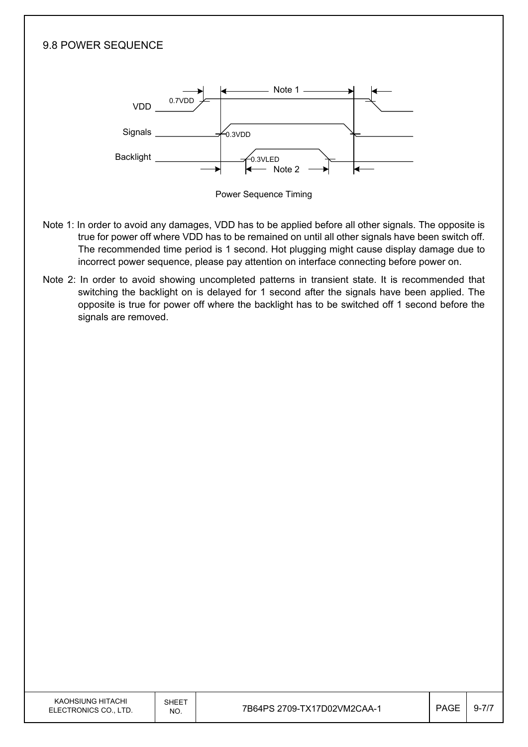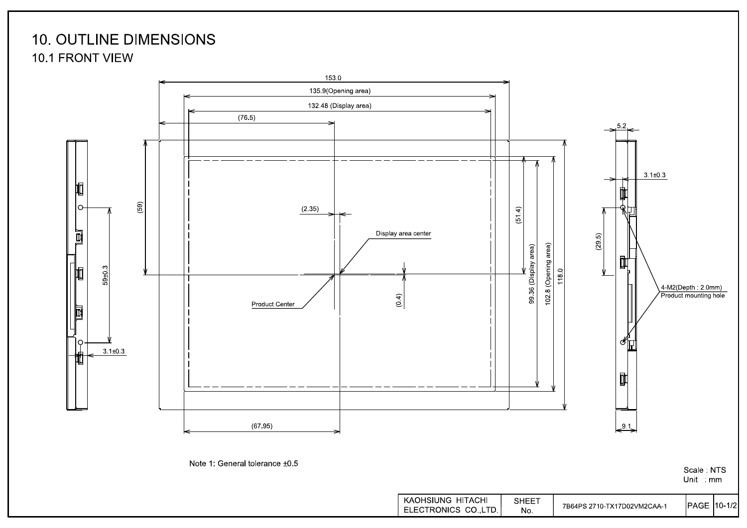### **10. OUTLINE DIMENSIONS** 10.1 FRONT VIEW



Scale: NTS Unit mm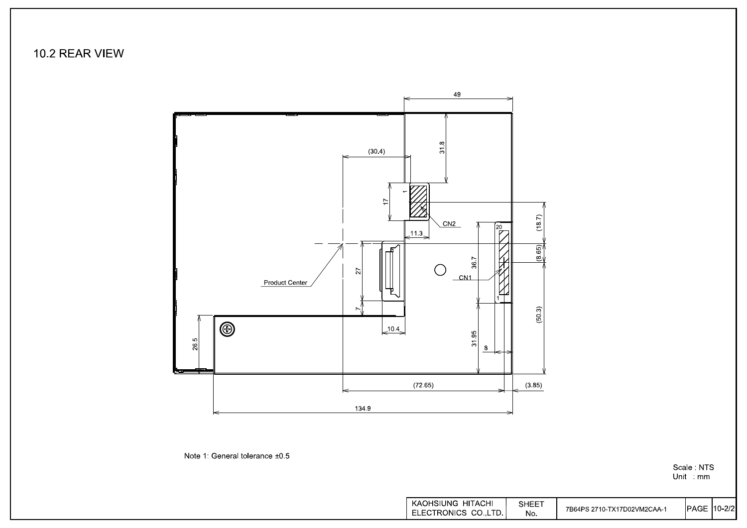10.2 REAR VIEW



Note 1: General tolerance ±0.5

Scale NTS<br>Unit mm

| KAOHSIUNG HITACHI  | SHEET |                             |                     |  |
|--------------------|-------|-----------------------------|---------------------|--|
| ELECTRONICS CO.LTD | No.   | 7B64PS 2710-TX17D02VM2CAA-1 | <b>IPAGE 10-2/2</b> |  |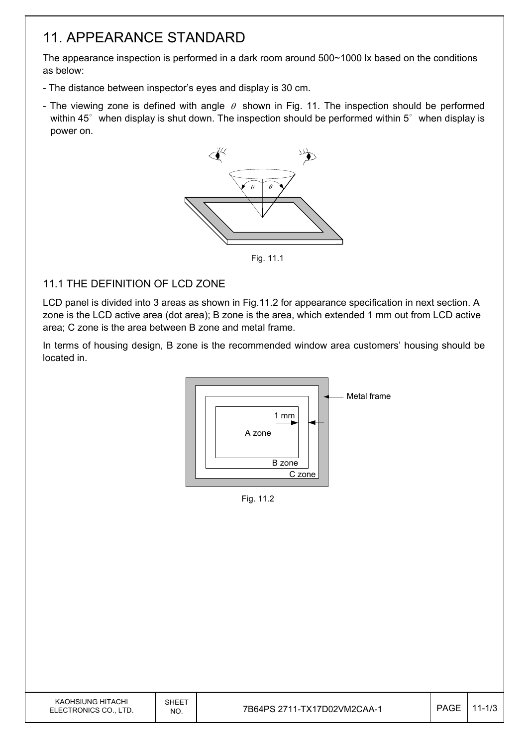### 11. APPEARANCE STANDARD

The appearance inspection is performed in a dark room around 500~1000 lx based on the conditions as below:

- The distance between inspector's eyes and display is 30 cm.
- The viewing zone is defined with angle  $\theta$  shown in Fig. 11. The inspection should be performed within 45 $\degree$  when display is shut down. The inspection should be performed within 5 $\degree$  when display is power on.



Fig. 11.1

#### 11.1 THE DEFINITION OF LCD ZONE

LCD panel is divided into 3 areas as shown in Fig.11.2 for appearance specification in next section. A zone is the LCD active area (dot area); B zone is the area, which extended 1 mm out from LCD active area; C zone is the area between B zone and metal frame.

In terms of housing design, B zone is the recommended window area customers' housing should be located in.



Fig. 11.2

| KAOHSIUNG HITACHI<br>ELECTRONICS CO., LTD. | SHEET<br>NO. | 7B64PS 2711-TX17D02VM2CAA-1 | <b>PAGE</b> | l-1/3 |
|--------------------------------------------|--------------|-----------------------------|-------------|-------|
|                                            |              |                             |             |       |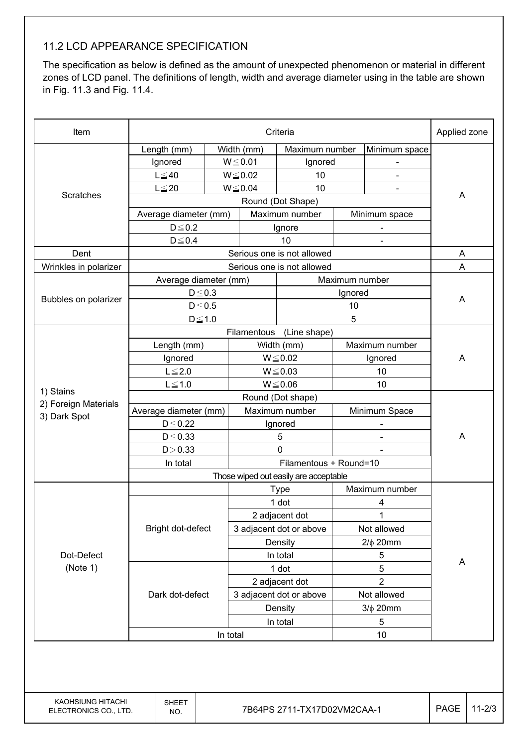#### 11.2 LCD APPEARANCE SPECIFICATION

The specification as below is defined as the amount of unexpected phenomenon or material in different zones of LCD panel. The definitions of length, width and average diameter using in the table are shown in Fig. 11.3 and Fig. 11.4.

| Item                                 | Criteria              |          |                |                                                                 |                              | Applied zone             |   |  |
|--------------------------------------|-----------------------|----------|----------------|-----------------------------------------------------------------|------------------------------|--------------------------|---|--|
|                                      | Length (mm)           |          | Width (mm)     | Maximum number                                                  |                              | Minimum space            |   |  |
|                                      | Ignored               |          | $W \le 0.01$   | Ignored                                                         |                              |                          |   |  |
|                                      | $L \leq 40$           |          | $W \le 0.02$   | 10                                                              |                              |                          |   |  |
|                                      | $L \leq 20$           |          | $W \le 0.04$   | 10                                                              |                              |                          |   |  |
| Scratches                            |                       |          |                | Round (Dot Shape)                                               |                              |                          | A |  |
|                                      | Average diameter (mm) |          |                | Maximum number                                                  |                              | Minimum space            |   |  |
|                                      | $D \leq 0.2$          |          | Ignore         |                                                                 |                              |                          |   |  |
|                                      | $D \le 0.4$           |          |                | 10                                                              |                              | $\blacksquare$           |   |  |
| Dent                                 |                       |          |                | Serious one is not allowed                                      |                              |                          | A |  |
| Wrinkles in polarizer                |                       |          |                | Serious one is not allowed                                      |                              |                          | A |  |
|                                      | Average diameter (mm) |          |                |                                                                 | Maximum number               |                          |   |  |
|                                      | $D \leq 0.3$          |          |                |                                                                 | Ignored                      |                          | A |  |
| Bubbles on polarizer                 | $D\!\leq\!0.5$        |          |                |                                                                 | 10                           |                          |   |  |
|                                      | $D \le 1.0$           |          |                |                                                                 | 5                            |                          |   |  |
|                                      |                       |          | Filamentous    | (Line shape)                                                    |                              |                          |   |  |
|                                      | Length (mm)           |          | Width (mm)     |                                                                 | Maximum number               |                          |   |  |
|                                      | Ignored               |          | $W \le 0.02$   |                                                                 | Ignored                      |                          | A |  |
|                                      | $L \leq 2.0$          |          | $W \le 0.03$   |                                                                 | 10                           |                          |   |  |
|                                      | $L \leq 1.0$          |          |                | $W \le 0.06$                                                    |                              | 10                       |   |  |
| 1) Stains                            |                       |          |                |                                                                 |                              |                          |   |  |
| 2) Foreign Materials<br>3) Dark Spot | Average diameter (mm) |          |                | Maximum number                                                  |                              | Minimum Space            |   |  |
|                                      | $D \leq 0.22$         |          | Ignored        |                                                                 |                              | $\overline{\phantom{a}}$ |   |  |
|                                      | $D \leq 0.33$         |          | 5              |                                                                 | $\qquad \qquad \blacksquare$ |                          | A |  |
|                                      | D > 0.33              |          |                | 0                                                               |                              |                          |   |  |
|                                      | In total              |          |                | Filamentous + Round=10<br>Those wiped out easily are acceptable |                              |                          |   |  |
|                                      |                       |          |                |                                                                 |                              |                          |   |  |
|                                      |                       |          |                | <b>Type</b>                                                     |                              | Maximum number           |   |  |
|                                      |                       |          | 1 dot          |                                                                 | 4                            |                          |   |  |
|                                      |                       |          | 2 adjacent dot |                                                                 |                              |                          |   |  |
|                                      | Bright dot-defect     |          |                | 3 adjacent dot or above                                         | Not allowed                  |                          |   |  |
|                                      |                       |          |                | Density                                                         | $2/\phi$ 20mm                |                          |   |  |
| Dot-Defect                           |                       |          |                | In total                                                        | 5                            |                          | A |  |
| (Note 1)                             |                       |          |                | 1 dot                                                           |                              | 5                        |   |  |
|                                      |                       |          |                | 2 adjacent dot                                                  |                              | $\overline{2}$           |   |  |
|                                      | Dark dot-defect       |          |                | 3 adjacent dot or above                                         |                              | Not allowed              |   |  |
|                                      |                       |          |                | Density                                                         |                              | $3/\phi$ 20mm            |   |  |
|                                      |                       |          | In total       |                                                                 |                              | 5                        |   |  |
|                                      |                       | In total | 10             |                                                                 |                              |                          |   |  |
|                                      |                       |          |                |                                                                 |                              |                          |   |  |

KAOHSIUNG HITACHI ELECTRONICS CO., LTD.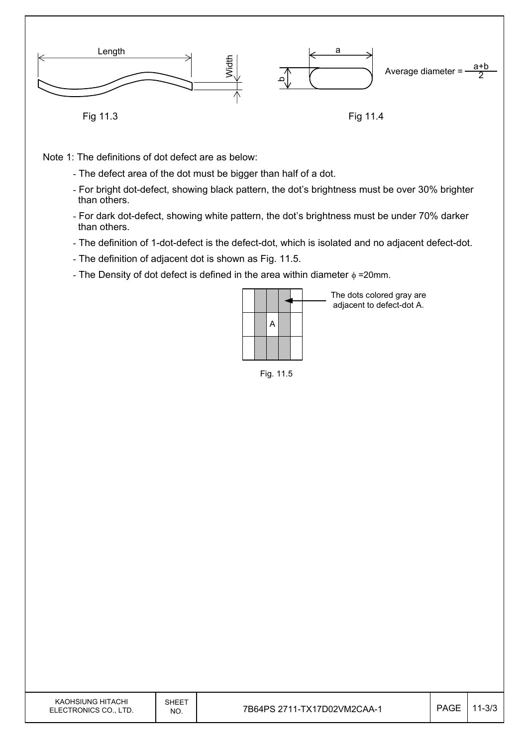

Note 1: The definitions of dot defect are as below:

- The defect area of the dot must be bigger than half of a dot.
- For bright dot-defect, showing black pattern, the dot's brightness must be over 30% brighter than others.
- For dark dot-defect, showing white pattern, the dot's brightness must be under 70% darker than others.
- The definition of 1-dot-defect is the defect-dot, which is isolated and no adjacent defect-dot.
- The definition of adjacent dot is shown as Fig. 11.5.
- The Density of dot defect is defined in the area within diameter  $\phi$  =20mm.

|  | A |  |  |
|--|---|--|--|
|  |   |  |  |

The dots colored gray are adjacent to defect-dot A.

Fig. 11.5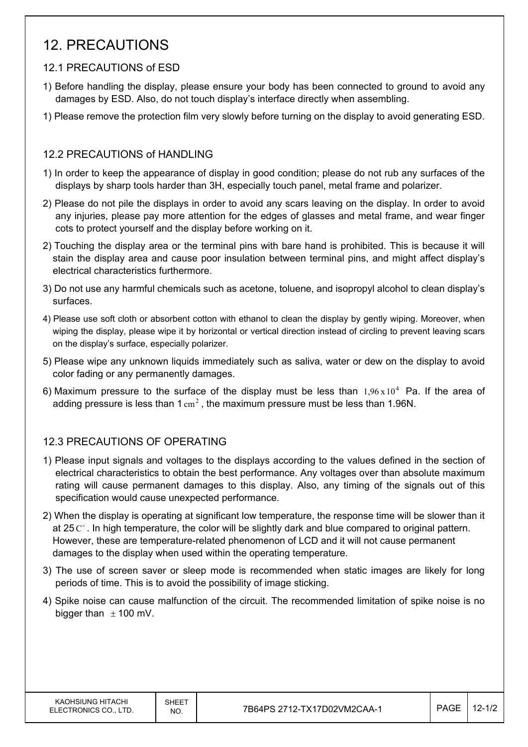### 12. PRECAUTIONS

#### 12.1 PRECAUTIONS of ESD

- 1) Before handling the display, please ensure your body has been connected to ground to avoid any damages by ESD. Also, do not touch display's interface directly when assembling.
- 1) Please remove the protection film very slowly before turning on the display to avoid generating ESD.

#### 12.2 PRECAUTIONS of HANDLING

- 1) In order to keep the appearance of display in good condition; please do not rub any surfaces of the displays by sharp tools harder than 3H, especially touch panel, metal frame and polarizer.
- 2) Please do not pile the displays in order to avoid any scars leaving on the display. In order to avoid any injuries, please pay more attention for the edges of glasses and metal frame, and wear finger cots to protect yourself and the display before working on it.
- 2) Touching the display area or the terminal pins with bare hand is prohibited. This is because it will stain the display area and cause poor insulation between terminal pins, and might affect display's electrical characteristics furthermore.
- 3) Do not use any harmful chemicals such as acetone, toluene, and isopropyl alcohol to clean display's surfaces.
- 4) Please use soft cloth or absorbent cotton with ethanol to clean the display by gently wiping. Moreover, when wiping the display, please wipe it by horizontal or vertical direction instead of circling to prevent leaving scars on the display's surface, especially polarizer.
- 5) Please wipe any unknown liquids immediately such as saliva, water or dew on the display to avoid color fading or any permanently damages.
- 6) Maximum pressure to the surface of the display must be less than  $1.96 \times 10^4$  Pa. If the area of adding pressure is less than  $1 \text{ cm}^2$ , the maximum pressure must be less than 1.96N.

#### 12.3 PRECAUTIONS OF OPERATING

- 1) Please input signals and voltages to the displays according to the values defined in the section of electrical characteristics to obtain the best performance. Any voltages over than absolute maximum rating will cause permanent damages to this display. Also, any timing of the signals out of this specification would cause unexpected performance.
- 2) When the display is operating at significant low temperature, the response time will be slower than it at 25 $C^{\circ}$ . In high temperature, the color will be slightly dark and blue compared to original pattern. However, these are temperature-related phenomenon of LCD and it will not cause permanent damages to the display when used within the operating temperature.
- 3) The use of screen saver or sleep mode is recommended when static images are likely for long periods of time. This is to avoid the possibility of image sticking.
- 4) Spike noise can cause malfunction of the circuit. The recommended limitation of spike noise is no bigger than  $\pm$  100 mV.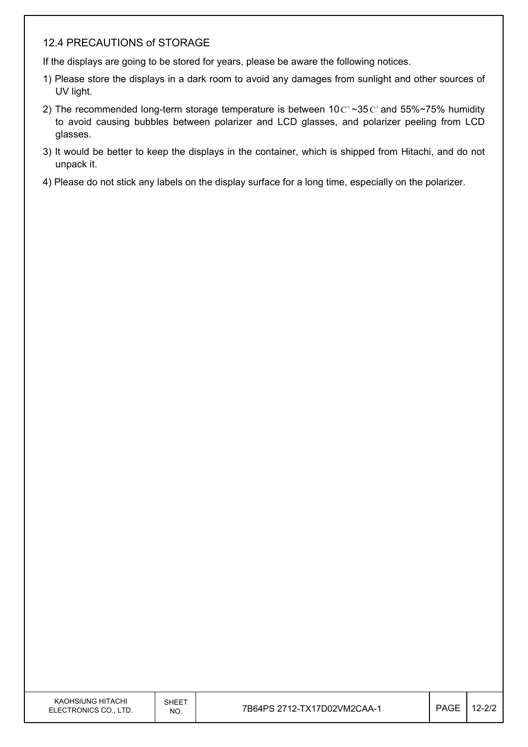#### 12.4 PRECAUTIONS of STORAGE

If the displays are going to be stored for years, please be aware the following notices.

- 1) Please store the displays in a dark room to avoid any damages from sunlight and other sources of UV light.
- 2) The recommended long-term storage temperature is between  $10 \degree \degree 35 \degree \degree$  and 55%~75% humidity to avoid causing bubbles between polarizer and LCD glasses, and polarizer peeling from LCD glasses.
- 3) It would be better to keep the displays in the container, which is shipped from Hitachi, and do not unpack it.
- 4) Please do not stick any labels on the display surface for a long time, especially on the polarizer.